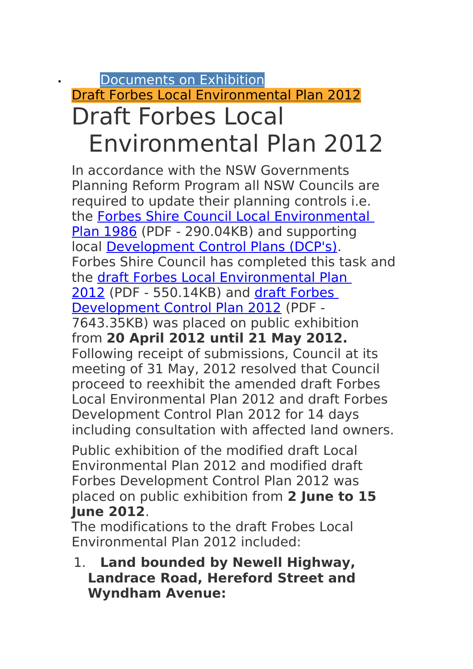## • [Documents on Exhibition](http://www.forbes.nsw.gov.au/index.php?option=com_jentlacontent&view=category&id=1781&Itemid=2286) [Draft Forbes Local Environmental Plan 2012](http://www.forbes.nsw.gov.au/index.php?option=com_jentlacontent&view=category&id=4358&Itemid=2320) Draft Forbes Local Environmental Plan 2012

In accordance with the NSW Governments Planning Reform Program all NSW Councils are required to update their planning controls i.e. the [Forbes Shire Council Local Environmental](http://www.forbes.nsw.gov.au/images/documents/forbes/Environmental/Planning/LEP/forbes%20lep%201986.pdf)  [Plan 1986](http://www.forbes.nsw.gov.au/images/documents/forbes/Environmental/Planning/LEP/forbes%20lep%201986.pdf) (PDF - 290.04KB) and supporting local [Development Control Plans \(DCP's\).](http://forbes.local-e.nsw.gov.au/index.php?option=com_jentlacontent&view=article&id=487289:development-control-plans-dcp-s-&catid=1786:local-planning-instruments-forbes&Itemid=2288) Forbes Shire Council has completed this task and the [draft Forbes Local Environmental Plan](http://www.forbes.nsw.gov.au/images/documents/forbes/Environmental/Planning/Draft%20LEP%202012/07%20-%20forbes%20draft%20lep%202012%20-%20exhibition%20draft%20february%202012.pdf)  [2012](http://www.forbes.nsw.gov.au/images/documents/forbes/Environmental/Planning/Draft%20LEP%202012/07%20-%20forbes%20draft%20lep%202012%20-%20exhibition%20draft%20february%202012.pdf) (PDF - 550.14KB) and [draft Forbes](http://www.forbes.nsw.gov.au/images/documents/forbes/Environmental/Planning/Draft%20LEP%202012/draft%20development%20control%20plan%202012.pdf)  [Development Control Plan 2012](http://www.forbes.nsw.gov.au/images/documents/forbes/Environmental/Planning/Draft%20LEP%202012/draft%20development%20control%20plan%202012.pdf) (PDF - 7643.35KB) was placed on public exhibition from **20 April 2012 until 21 May 2012.** Following receipt of submissions, Council at its meeting of 31 May, 2012 resolved that Council proceed to reexhibit the amended draft Forbes Local Environmental Plan 2012 and draft Forbes Development Control Plan 2012 for 14 days including consultation with affected land owners.

Public exhibition of the modified draft Local Environmental Plan 2012 and modified draft Forbes Development Control Plan 2012 was placed on public exhibition from **2 June to 15 June 2012**.

The modifications to the draft Frobes Local Environmental Plan 2012 included:

1. **Land bounded by Newell Highway, Landrace Road, Hereford Street and Wyndham Avenue:**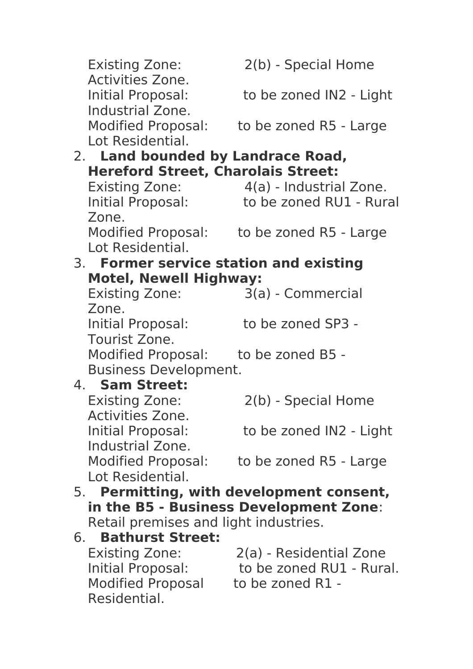|                                       | <b>Existing Zone:</b>                                                              | 2(b) - Special Home                       |  |
|---------------------------------------|------------------------------------------------------------------------------------|-------------------------------------------|--|
|                                       | <b>Activities Zone.</b><br>Initial Proposal:<br>Industrial Zone.                   | to be zoned IN2 - Light                   |  |
|                                       | <b>Modified Proposal:</b><br>Lot Residential.                                      | to be zoned R5 - Large                    |  |
|                                       | 2. Land bounded by Landrace Road,                                                  |                                           |  |
|                                       | <b>Hereford Street, Charolais Street:</b>                                          |                                           |  |
|                                       | <b>Existing Zone:</b>                                                              | 4(a) - Industrial Zone.                   |  |
|                                       | Initial Proposal:<br>Zone.                                                         | to be zoned RU1 - Rural                   |  |
|                                       | Lot Residential.                                                                   | Modified Proposal: to be zoned R5 - Large |  |
|                                       | 3. Former service station and existing                                             |                                           |  |
| <b>Motel, Newell Highway:</b>         |                                                                                    |                                           |  |
|                                       | <b>Existing Zone:</b><br>Zone.                                                     | 3(a) - Commercial                         |  |
|                                       | Initial Proposal:<br>Tourist Zone.                                                 | to be zoned SP3 -                         |  |
|                                       | Modified Proposal: to be zoned B5 -<br><b>Business Development.</b>                |                                           |  |
|                                       | 4. Sam Street:                                                                     |                                           |  |
|                                       | <b>Existing Zone:</b><br><b>Activities Zone.</b>                                   | 2(b) - Special Home                       |  |
|                                       | Initial Proposal:<br>Industrial Zone.                                              | to be zoned IN2 - Light                   |  |
|                                       | <b>Modified Proposal:</b><br>Lot Residential.                                      | to be zoned R5 - Large                    |  |
|                                       |                                                                                    |                                           |  |
|                                       | 5. Permitting, with development consent,<br>in the B5 - Business Development Zone: |                                           |  |
| Retail premises and light industries. |                                                                                    |                                           |  |
|                                       | 6. Bathurst Street:                                                                |                                           |  |
|                                       | <b>Existing Zone:</b>                                                              | 2(a) - Residential Zone                   |  |
|                                       | Initial Proposal:                                                                  | to be zoned RU1 - Rural.                  |  |
|                                       | Modified Proposal to be zoned R1 -<br>Residential.                                 |                                           |  |
|                                       |                                                                                    |                                           |  |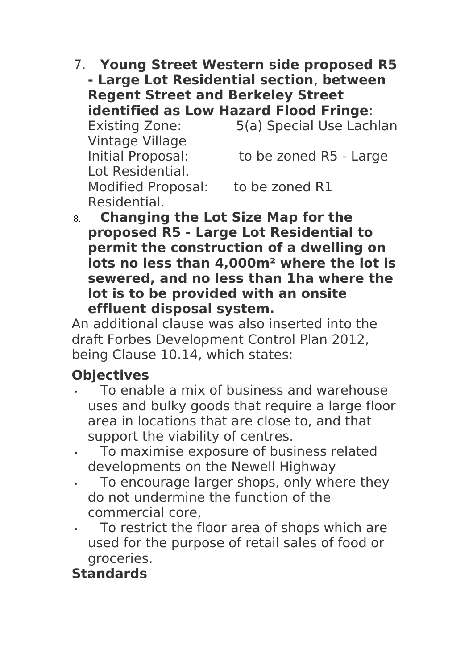7. **Young Street Western side proposed R5 - Large Lot Residential section**, **between Regent Street and Berkeley Street identified as Low Hazard Flood Fringe**:

Existing Zone: 5(a) Special Use Lachlan Vintage Village Initial Proposal: to be zoned R5 - Large Lot Residential. Modified Proposal: to be zoned R1

Residential.

8. **Changing the Lot Size Map for the proposed R5 - Large Lot Residential to permit the construction of a dwelling on lots no less than 4,000m² where the lot is sewered, and no less than 1ha where the lot is to be provided with an onsite effluent disposal system.**

An additional clause was also inserted into the draft Forbes Development Control Plan 2012, being Clause 10.14, which states:

## **Objectives**

- To enable a mix of business and warehouse uses and bulky goods that require a large floor area in locations that are close to, and that support the viability of centres.
- To maximise exposure of business related developments on the Newell Highway
- To encourage larger shops, only where they do not undermine the function of the commercial core,
- To restrict the floor area of shops which are used for the purpose of retail sales of food or groceries.

## **Standards**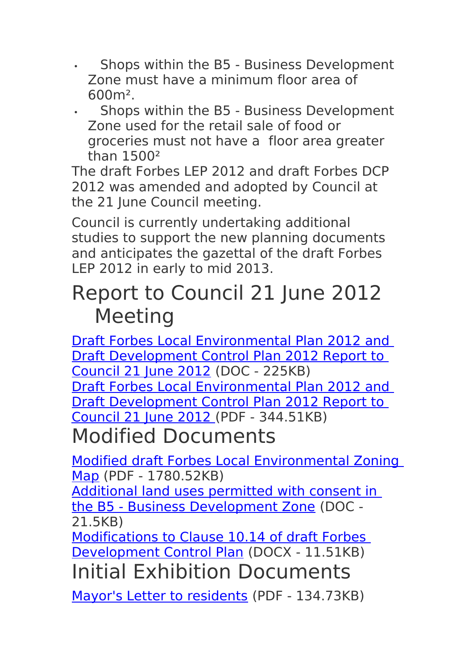- Shops within the B5 Business Development Zone must have a minimum floor area of 600m².
- Shops within the B5 Business Development Zone used for the retail sale of food or groceries must not have a floor area greater than 1500²

The draft Forbes LEP 2012 and draft Forbes DCP 2012 was amended and adopted by Council at the 21 June Council meeting.

Council is currently undertaking additional studies to support the new planning documents and anticipates the gazettal of the draft Forbes LEP 2012 in early to mid 2013.

## Report to Council 21 June 2012 Meeting

[Draft Forbes Local Environmental Plan 2012 and](http://www.forbes.nsw.gov.au/images/documents/forbes/Environmental/Planning/Draft%20LEP%202012/draft%20forbes%20lep%20and%20dcp%202012%20report%20to%20council.doc)  [Draft Development Control Plan 2012 Report to](http://www.forbes.nsw.gov.au/images/documents/forbes/Environmental/Planning/Draft%20LEP%202012/draft%20forbes%20lep%20and%20dcp%202012%20report%20to%20council.doc)  [Council 21 June 2012](http://www.forbes.nsw.gov.au/images/documents/forbes/Environmental/Planning/Draft%20LEP%202012/draft%20forbes%20lep%20and%20dcp%202012%20report%20to%20council.doc) (DOC - 225KB) [Draft Forbes Local Environmental Plan 2012 and](http://www.forbes.nsw.gov.au/images/documents/forbes/Environmental/Planning/Draft%20LEP%202012/draft%20forbes%20lep%20and%20dcp%202012%20report%20to%20council.pdf)  [Draft Development Control Plan 2012 Report to](http://www.forbes.nsw.gov.au/images/documents/forbes/Environmental/Planning/Draft%20LEP%202012/draft%20forbes%20lep%20and%20dcp%202012%20report%20to%20council.pdf)   [Council 21 June 2012](http://www.forbes.nsw.gov.au/images/documents/forbes/Environmental/Planning/Draft%20LEP%202012/draft%20forbes%20lep%20and%20dcp%202012%20report%20to%20council.pdf) (PDF - 344.51KB) Modified Documents

[Modified draft Forbes Local Environmental Zoning](http://www.forbes.nsw.gov.au/images/documents/forbes/Environmental/Planning/Modified%20Draft%20LEP%20DCP%202012/modified%20draft%20forbes%20lep%202012%20zoning%20map.pdf) [Map](http://www.forbes.nsw.gov.au/images/documents/forbes/Environmental/Planning/Modified%20Draft%20LEP%20DCP%202012/modified%20draft%20forbes%20lep%202012%20zoning%20map.pdf) (PDF - 1780.52KB)

[Additional land uses permitted with consent in](http://www.forbes.nsw.gov.au/images/documents/forbes/Environmental/Planning/Modified%20Draft%20LEP%20DCP%202012/additional%20land%20uses%20b5%20business%20development%20zone.doc)  [the B5 - Business Development Zone](http://www.forbes.nsw.gov.au/images/documents/forbes/Environmental/Planning/Modified%20Draft%20LEP%20DCP%202012/additional%20land%20uses%20b5%20business%20development%20zone.doc) (DOC - 21.5KB)

[Modifications to Clause 10.14 of draft Forbes](http://www.forbes.nsw.gov.au/images/documents/forbes/Environmental/Planning/Modified%20Draft%20LEP%20DCP%202012/amended%20dcp%20clause%2010.14.docx)  [Development Control Plan](http://www.forbes.nsw.gov.au/images/documents/forbes/Environmental/Planning/Modified%20Draft%20LEP%20DCP%202012/amended%20dcp%20clause%2010.14.docx) (DOCX - 11.51KB) Initial Exhibition Documents

[Mayor's Letter to residents](http://www.forbes.nsw.gov.au/images/documents/forbes/Environmental/Planning/Draft%20LEP%202012/01%20-mayors%20letter%20to%20residents.pdf) (PDF - 134.73KB)